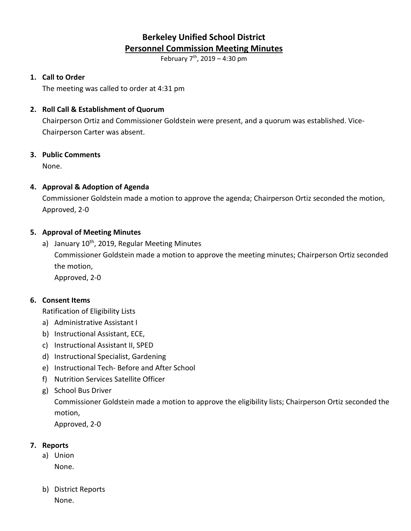# **Berkeley Unified School District Personnel Commission Meeting Minutes**

February  $7^{th}$ , 2019 – 4:30 pm

# **1. Call to Order**

The meeting was called to order at 4:31 pm

# **2. Roll Call & Establishment of Quorum**

Chairperson Ortiz and Commissioner Goldstein were present, and a quorum was established. Vice-Chairperson Carter was absent.

## **3. Public Comments**

None.

## **4. Approval & Adoption of Agenda**

Commissioner Goldstein made a motion to approve the agenda; Chairperson Ortiz seconded the motion, Approved, 2-0

## **5. Approval of Meeting Minutes**

a) January  $10^{th}$ , 2019, Regular Meeting Minutes Commissioner Goldstein made a motion to approve the meeting minutes; Chairperson Ortiz seconded the motion, Approved, 2-0

#### **6. Consent Items**

Ratification of Eligibility Lists

- a) Administrative Assistant I
- b) Instructional Assistant, ECE,
- c) Instructional Assistant II, SPED
- d) Instructional Specialist, Gardening
- e) Instructional Tech- Before and After School
- f) Nutrition Services Satellite Officer
- g) School Bus Driver

Commissioner Goldstein made a motion to approve the eligibility lists; Chairperson Ortiz seconded the motion,

Approved, 2-0

# **7. Reports**

- a) Union None.
- b) District Reports None.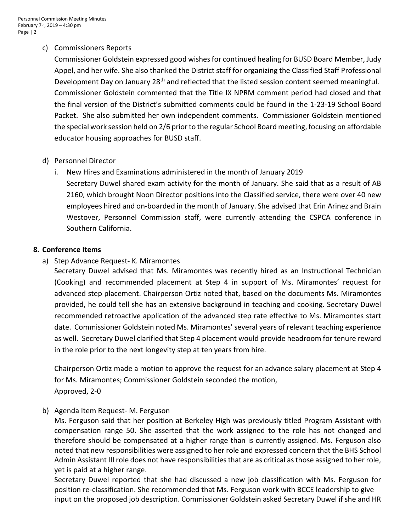# c) Commissioners Reports

Commissioner Goldstein expressed good wishes for continued healing for BUSD Board Member, Judy Appel, and her wife. She also thanked the District staff for organizing the Classified Staff Professional Development Day on January 28<sup>th</sup> and reflected that the listed session content seemed meaningful. Commissioner Goldstein commented that the Title IX NPRM comment period had closed and that the final version of the District's submitted comments could be found in the 1-23-19 School Board Packet. She also submitted her own independent comments. Commissioner Goldstein mentioned the special work session held on 2/6 priorto the regular School Board meeting, focusing on affordable educator housing approaches for BUSD staff.

# d) Personnel Director

i. New Hires and Examinations administered in the month of January 2019 Secretary Duwel shared exam activity for the month of January. She said that as a result of AB 2160, which brought Noon Director positions into the Classified service, there were over 40 new employees hired and on-boarded in the month of January. She advised that Erin Arinez and Brain Westover, Personnel Commission staff, were currently attending the CSPCA conference in Southern California.

## **8. Conference Items**

a) Step Advance Request- K. Miramontes

Secretary Duwel advised that Ms. Miramontes was recently hired as an Instructional Technician (Cooking) and recommended placement at Step 4 in support of Ms. Miramontes' request for advanced step placement. Chairperson Ortiz noted that, based on the documents Ms. Miramontes provided, he could tell she has an extensive background in teaching and cooking. Secretary Duwel recommended retroactive application of the advanced step rate effective to Ms. Miramontes start date. Commissioner Goldstein noted Ms. Miramontes' several years of relevant teaching experience as well. Secretary Duwel clarified that Step 4 placement would provide headroom for tenure reward in the role prior to the next longevity step at ten years from hire.

Chairperson Ortiz made a motion to approve the request for an advance salary placement at Step 4 for Ms. Miramontes; Commissioner Goldstein seconded the motion, Approved, 2-0

# b) Agenda Item Request- M. Ferguson

Ms. Ferguson said that her position at Berkeley High was previously titled Program Assistant with compensation range 50. She asserted that the work assigned to the role has not changed and therefore should be compensated at a higher range than is currently assigned. Ms. Ferguson also noted that new responsibilities were assigned to her role and expressed concern that the BHS School Admin Assistant III role does not have responsibilities that are as critical asthose assigned to her role, yet is paid at a higher range.

Secretary Duwel reported that she had discussed a new job classification with Ms. Ferguson for position re-classification. She recommended that Ms. Ferguson work with BCCE leadership to give input on the proposed job description. Commissioner Goldstein asked Secretary Duwel if she and HR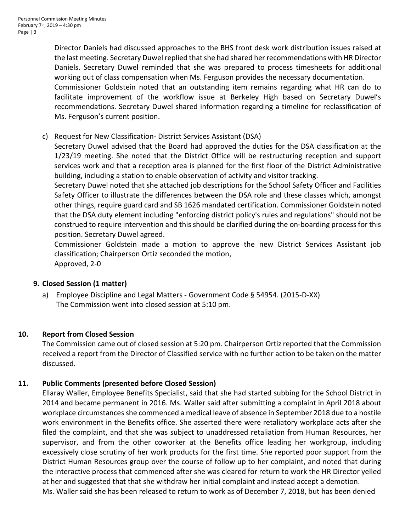Director Daniels had discussed approaches to the BHS front desk work distribution issues raised at the last meeting. Secretary Duwel replied that she had shared her recommendations with HR Director Daniels. Secretary Duwel reminded that she was prepared to process timesheets for additional working out of class compensation when Ms. Ferguson provides the necessary documentation.

Commissioner Goldstein noted that an outstanding item remains regarding what HR can do to facilitate improvement of the workflow issue at Berkeley High based on Secretary Duwel's recommendations. Secretary Duwel shared information regarding a timeline for reclassification of Ms. Ferguson's current position.

# c) Request for New Classification- District Services Assistant (DSA)

Secretary Duwel advised that the Board had approved the duties for the DSA classification at the 1/23/19 meeting. She noted that the District Office will be restructuring reception and support services work and that a reception area is planned for the first floor of the District Administrative building, including a station to enable observation of activity and visitor tracking.

Secretary Duwel noted that she attached job descriptions for the School Safety Officer and Facilities Safety Officer to illustrate the differences between the DSA role and these classes which, amongst other things, require guard card and SB 1626 mandated certification. Commissioner Goldstein noted that the DSA duty element including "enforcing district policy's rules and regulations" should not be construed to require intervention and this should be clarified during the on-boarding process for this position. Secretary Duwel agreed.

Commissioner Goldstein made a motion to approve the new District Services Assistant job classification; Chairperson Ortiz seconded the motion, Approved, 2-0

#### **9. Closed Session (1 matter)**

a) Employee Discipline and Legal Matters - Government Code § 54954. (2015-D-XX) The Commission went into closed session at 5:10 pm.

#### **10. Report from Closed Session**

The Commission came out of closed session at 5:20 pm. Chairperson Ortiz reported that the Commission received a report from the Director of Classified service with no further action to be taken on the matter discussed.

#### **11. Public Comments (presented before Closed Session)**

Ellaray Waller, Employee Benefits Specialist, said that she had started subbing for the School District in 2014 and became permanent in 2016. Ms. Waller said after submitting a complaint in April 2018 about workplace circumstances she commenced a medical leave of absence in September 2018 due to a hostile work environment in the Benefits office. She asserted there were retaliatory workplace acts after she filed the complaint, and that she was subject to unaddressed retaliation from Human Resources, her supervisor, and from the other coworker at the Benefits office leading her workgroup, including excessively close scrutiny of her work products for the first time. She reported poor support from the District Human Resources group over the course of follow up to her complaint, and noted that during the interactive process that commenced after she was cleared for return to work the HR Director yelled at her and suggested that that she withdraw her initial complaint and instead accept a demotion. Ms. Waller said she has been released to return to work as of December 7, 2018, but has been denied